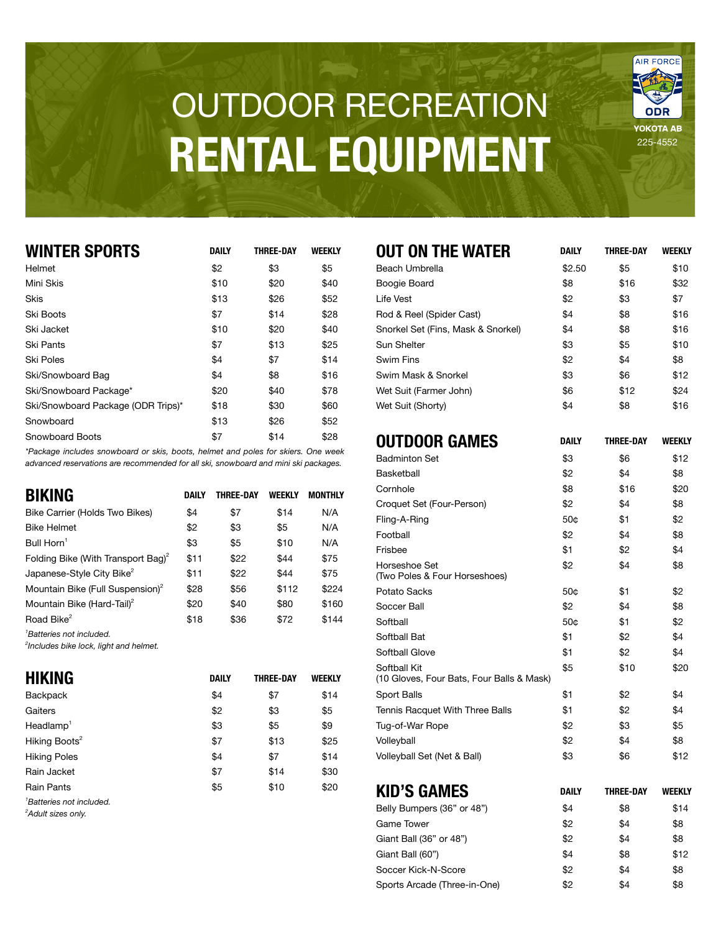## **OUTDOOR RECREATION RENTAL EQUIPMENT**

**WATER THE ONLY THE ONLY THE ONLY THE ONLY THE ONLY THE ONLY THE ONLY THE ONLY THE ONLY THE ONLY THE ONLY THE O** 

| <b>WINTER SPORTS</b>               | <b>DAILY</b> | <b>THREE-DAY</b> | <b>WEEKLY</b> |
|------------------------------------|--------------|------------------|---------------|
| Helmet                             | \$2          | \$3              | \$5           |
| Mini Skis                          | \$10         | \$20             | \$40          |
| Skis                               | \$13         | \$26             | \$52          |
| Ski Boots                          | \$7          | \$14             | \$28          |
| Ski Jacket                         | \$10         | \$20             | \$40          |
| Ski Pants                          | \$7          | \$13             | \$25          |
| Ski Poles                          | \$4          | \$7              | \$14          |
| Ski/Snowboard Bag                  | \$4          | \$8              | \$16          |
| Ski/Snowboard Package*             | \$20         | \$40             | \$78          |
| Ski/Snowboard Package (ODR Trips)* | \$18         | \$30             | \$60          |
| Snowboard                          | \$13         | \$26             | \$52          |
| Snowboard Boots                    | \$7          | \$14             | \$28          |

*\*Package includes snowboard or skis, boots, helmet and poles for skiers. One week* advanced reservations are recommended for all ski, snowboard and mini ski packages.

| <b>BIKING</b>                                  | DAILY | THREE-DAY | WEEKLY | <b>MONTHLY</b> |
|------------------------------------------------|-------|-----------|--------|----------------|
| Bike Carrier (Holds Two Bikes)                 | \$4   | \$7       | \$14   | N/A            |
| <b>Bike Helmet</b>                             | \$2   | \$3       | \$5    | N/A            |
| Bull $Horn1$                                   | \$3   | \$5       | \$10   | N/A            |
| Folding Bike (With Transport Bag) <sup>2</sup> | \$11  | \$22      | \$44   | \$75           |
| Japanese-Style City Bike <sup>2</sup>          | \$11  | \$22      | \$44   | \$75           |
| Mountain Bike (Full Suspension) <sup>2</sup>   | \$28  | \$56      | \$112  | \$224          |
| Mountain Bike (Hard-Tail) <sup>2</sup>         | \$20  | \$40      | \$80   | \$160          |
| Road Bike <sup>2</sup>                         | \$18  | \$36      | \$72   | \$144          |
| <sup>1</sup> Batteries not included.           |       |           |        |                |

<sup>2</sup>Includes bike lock, light and helmet.

| <b>HIKING</b>                                                          | <b>DAILY</b> | <b>THREE-DAY</b> | WEEKLY |
|------------------------------------------------------------------------|--------------|------------------|--------|
| <b>Backpack</b>                                                        | \$4          | \$7              | \$14   |
| Gaiters                                                                | \$2          | \$3              | \$5    |
| $Head$ lamp $^1$                                                       | \$3          | \$5              | \$9    |
| Hiking Boots <sup>2</sup>                                              | \$7          | \$13             | \$25   |
| <b>Hiking Poles</b>                                                    | \$4          | \$7              | \$14   |
| Rain Jacket                                                            | \$7          | \$14             | \$30   |
| <b>Rain Pants</b>                                                      | \$5          | \$10             | \$20   |
| <sup>1</sup> Batteries not included.<br><sup>2</sup> Adult sizes only. |              |                  |        |

| OUT ON THE WATER                                          | DAILY        | THREE-DAY        | WEEKLY        |
|-----------------------------------------------------------|--------------|------------------|---------------|
| Beach Umbrella                                            | \$2.50       | \$5              | \$10          |
| Boogie Board                                              | \$8          | \$16             | \$32          |
| <b>Life Vest</b>                                          | \$2          | \$3              | \$7           |
| Rod & Reel (Spider Cast)                                  | \$4          | \$8              | \$16          |
| Snorkel Set (Fins, Mask & Snorkel)                        | \$4          | \$8              | \$16          |
| Sun Shelter                                               | \$3          | \$5              | \$10          |
| <b>Swim Fins</b>                                          | \$2          | \$4              | \$8           |
| Swim Mask & Snorkel                                       | \$3          | \$6              | \$12          |
| Wet Suit (Farmer John)                                    | \$6          | \$12             | \$24          |
| Wet Suit (Shorty)                                         | \$4          | \$8              | \$16          |
| <b>OUTDOOR GAMES</b>                                      | DAILY        | <b>THREE-DAY</b> | <b>WEEKLY</b> |
| <b>Badminton Set</b>                                      | \$3          | \$6              | \$12          |
| Basketball                                                | \$2          | \$4              | \$8           |
| Cornhole                                                  | \$8          | \$16             | \$20          |
| Croquet Set (Four-Person)                                 | \$2          | \$4              | \$8           |
| Fling-A-Ring                                              | 50¢          | \$1              | \$2           |
| Football                                                  | \$2          | \$4              | \$8           |
| Frisbee                                                   | \$1          | \$2              | \$4           |
| Horseshoe Set<br>(Two Poles & Four Horseshoes)            | \$2          | \$4              | \$8           |
| Potato Sacks                                              | 50¢          | \$1              | \$2           |
| Soccer Ball                                               | \$2          | \$4              | \$8           |
| Softball                                                  | 50¢          | \$1              | \$2           |
| Softball Bat                                              | \$1          | \$2              | \$4           |
| Softball Glove                                            | \$1          | \$2              | \$4           |
| Softball Kit<br>(10 Gloves, Four Bats, Four Balls & Mask) | \$5          | \$10             | \$20          |
| Sport Balls                                               | \$1          | \$2              | \$4           |
| Tennis Racquet With Three Balls                           | \$1          | \$2              | \$4           |
| Tug-of-War Rope                                           | \$2          | \$3              | \$5           |
| Volleyball                                                | \$2          | \$4              | \$8           |
| Volleyball Set (Net & Ball)                               | \$3          | \$6              | \$12          |
| <b>KID'S GAMES</b>                                        | <b>DAILY</b> | <b>THREE-DAY</b> | <b>WEEKLY</b> |
| Belly Bumpers (36" or 48")                                | \$4          | \$8              | \$14          |
| <b>Game Tower</b>                                         | \$2          | \$4              | \$8           |
| Giant Ball (36" or 48")                                   | \$2          | \$4              | \$8           |
| Giant Ball (60")                                          | \$4          | \$8              | \$12          |

Soccer Kick-N-Score<br>
\$2 \$4 \$8 Sports Arcade (Three-in-One)  $$2$   $$4$   $$8$ 

225-4552

**ODR** YOKOTA AB

AIR FORCE